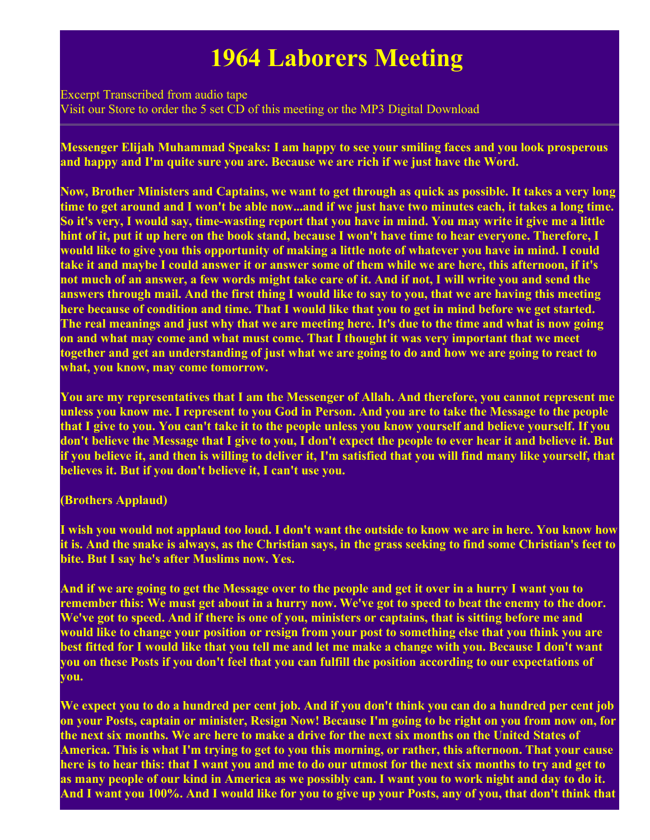## **1964 Laborers Meeting**

Excerpt Transcribed from audio tape Visit our Store to order the 5 set CD of this meeting or the MP3 Digital Download

**Messenger Elijah Muhammad Speaks: I am happy to see your smiling faces and you look prosperous and happy and I'm quite sure you are. Because we are rich if we just have the Word.** 

**Now, Brother Ministers and Captains, we want to get through as quick as possible. It takes a very long time to get around and I won't be able now...and if we just have two minutes each, it takes a long time. So it's very, I would say, time-wasting report that you have in mind. You may write it give me a little hint of it, put it up here on the book stand, because I won't have time to hear everyone. Therefore, I would like to give you this opportunity of making a little note of whatever you have in mind. I could take it and maybe I could answer it or answer some of them while we are here, this afternoon, if it's not much of an answer, a few words might take care of it. And if not, I will write you and send the answers through mail. And the first thing I would like to say to you, that we are having this meeting here because of condition and time. That I would like that you to get in mind before we get started. The real meanings and just why that we are meeting here. It's due to the time and what is now going on and what may come and what must come. That I thought it was very important that we meet together and get an understanding of just what we are going to do and how we are going to react to what, you know, may come tomorrow.** 

**You are my representatives that I am the Messenger of Allah. And therefore, you cannot represent me unless you know me. I represent to you God in Person. And you are to take the Message to the people that I give to you. You can't take it to the people unless you know yourself and believe yourself. If you don't believe the Message that I give to you, I don't expect the people to ever hear it and believe it. But if you believe it, and then is willing to deliver it, I'm satisfied that you will find many like yourself, that believes it. But if you don't believe it, I can't use you.** 

## **(Brothers Applaud)**

**I wish you would not applaud too loud. I don't want the outside to know we are in here. You know how it is. And the snake is always, as the Christian says, in the grass seeking to find some Christian's feet to bite. But I say he's after Muslims now. Yes.**

**And if we are going to get the Message over to the people and get it over in a hurry I want you to remember this: We must get about in a hurry now. We've got to speed to beat the enemy to the door. We've got to speed. And if there is one of you, ministers or captains, that is sitting before me and would like to change your position or resign from your post to something else that you think you are best fitted for I would like that you tell me and let me make a change with you. Because I don't want you on these Posts if you don't feel that you can fulfill the position according to our expectations of you.** 

**We expect you to do a hundred per cent job. And if you don't think you can do a hundred per cent job on your Posts, captain or minister, Resign Now! Because I'm going to be right on you from now on, for the next six months. We are here to make a drive for the next six months on the United States of America. This is what I'm trying to get to you this morning, or rather, this afternoon. That your cause here is to hear this: that I want you and me to do our utmost for the next six months to try and get to as many people of our kind in America as we possibly can. I want you to work night and day to do it. And I want you 100%. And I would like for you to give up your Posts, any of you, that don't think that**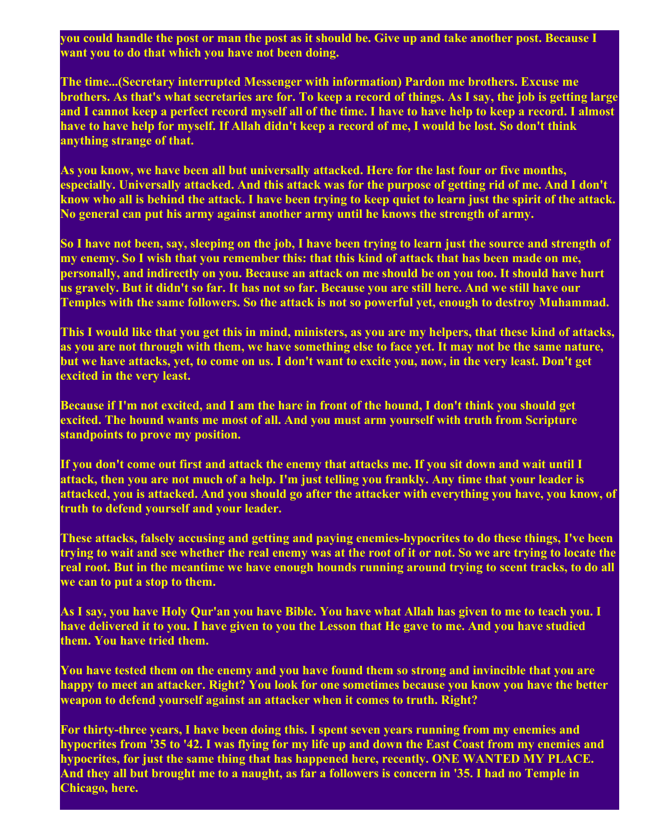**you could handle the post or man the post as it should be. Give up and take another post. Because I want you to do that which you have not been doing.**

**The time...(Secretary interrupted Messenger with information) Pardon me brothers. Excuse me brothers. As that's what secretaries are for. To keep a record of things. As I say, the job is getting large and I cannot keep a perfect record myself all of the time. I have to have help to keep a record. I almost have to have help for myself. If Allah didn't keep a record of me, I would be lost. So don't think anything strange of that.** 

**As you know, we have been all but universally attacked. Here for the last four or five months, especially. Universally attacked. And this attack was for the purpose of getting rid of me. And I don't know who all is behind the attack. I have been trying to keep quiet to learn just the spirit of the attack. No general can put his army against another army until he knows the strength of army.** 

**So I have not been, say, sleeping on the job, I have been trying to learn just the source and strength of my enemy. So I wish that you remember this: that this kind of attack that has been made on me, personally, and indirectly on you. Because an attack on me should be on you too. It should have hurt us gravely. But it didn't so far. It has not so far. Because you are still here. And we still have our Temples with the same followers. So the attack is not so powerful yet, enough to destroy Muhammad.** 

**This I would like that you get this in mind, ministers, as you are my helpers, that these kind of attacks, as you are not through with them, we have something else to face yet. It may not be the same nature, but we have attacks, yet, to come on us. I don't want to excite you, now, in the very least. Don't get excited in the very least.** 

**Because if I'm not excited, and I am the hare in front of the hound, I don't think you should get excited. The hound wants me most of all. And you must arm yourself with truth from Scripture standpoints to prove my position.** 

**If you don't come out first and attack the enemy that attacks me. If you sit down and wait until I attack, then you are not much of a help. I'm just telling you frankly. Any time that your leader is attacked, you is attacked. And you should go after the attacker with everything you have, you know, of truth to defend yourself and your leader.**

**These attacks, falsely accusing and getting and paying enemies-hypocrites to do these things, I've been trying to wait and see whether the real enemy was at the root of it or not. So we are trying to locate the real root. But in the meantime we have enough hounds running around trying to scent tracks, to do all we can to put a stop to them.** 

**As I say, you have Holy Qur'an you have Bible. You have what Allah has given to me to teach you. I have delivered it to you. I have given to you the Lesson that He gave to me. And you have studied them. You have tried them.** 

**You have tested them on the enemy and you have found them so strong and invincible that you are happy to meet an attacker. Right? You look for one sometimes because you know you have the better weapon to defend yourself against an attacker when it comes to truth. Right?** 

**For thirty-three years, I have been doing this. I spent seven years running from my enemies and hypocrites from '35 to '42. I was flying for my life up and down the East Coast from my enemies and hypocrites, for just the same thing that has happened here, recently. ONE WANTED MY PLACE. And they all but brought me to a naught, as far a followers is concern in '35. I had no Temple in Chicago, here.**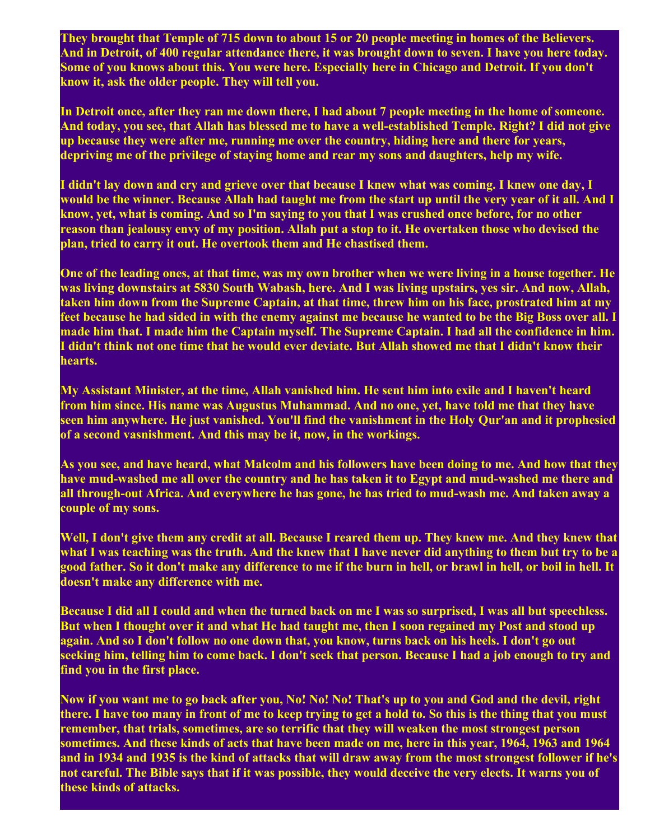**They brought that Temple of 715 down to about 15 or 20 people meeting in homes of the Believers. And in Detroit, of 400 regular attendance there, it was brought down to seven. I have you here today. Some of you knows about this. You were here. Especially here in Chicago and Detroit. If you don't know it, ask the older people. They will tell you.** 

**In Detroit once, after they ran me down there, I had about 7 people meeting in the home of someone. And today, you see, that Allah has blessed me to have a well-established Temple. Right? I did not give up because they were after me, running me over the country, hiding here and there for years, depriving me of the privilege of staying home and rear my sons and daughters, help my wife.** 

**I didn't lay down and cry and grieve over that because I knew what was coming. I knew one day, I would be the winner. Because Allah had taught me from the start up until the very year of it all. And I know, yet, what is coming. And so I'm saying to you that I was crushed once before, for no other reason than jealousy envy of my position. Allah put a stop to it. He overtaken those who devised the plan, tried to carry it out. He overtook them and He chastised them.** 

**One of the leading ones, at that time, was my own brother when we were living in a house together. He was living downstairs at 5830 South Wabash, here. And I was living upstairs, yes sir. And now, Allah, taken him down from the Supreme Captain, at that time, threw him on his face, prostrated him at my feet because he had sided in with the enemy against me because he wanted to be the Big Boss over all. I made him that. I made him the Captain myself. The Supreme Captain. I had all the confidence in him. I didn't think not one time that he would ever deviate. But Allah showed me that I didn't know their hearts.** 

**My Assistant Minister, at the time, Allah vanished him. He sent him into exile and I haven't heard from him since. His name was Augustus Muhammad. And no one, yet, have told me that they have seen him anywhere. He just vanished. You'll find the vanishment in the Holy Qur'an and it prophesied of a second vasnishment. And this may be it, now, in the workings.** 

**As you see, and have heard, what Malcolm and his followers have been doing to me. And how that they have mud-washed me all over the country and he has taken it to Egypt and mud-washed me there and all through-out Africa. And everywhere he has gone, he has tried to mud-wash me. And taken away a couple of my sons.** 

**Well, I don't give them any credit at all. Because I reared them up. They knew me. And they knew that what I was teaching was the truth. And the knew that I have never did anything to them but try to be a good father. So it don't make any difference to me if the burn in hell, or brawl in hell, or boil in hell. It doesn't make any difference with me.** 

**Because I did all I could and when the turned back on me I was so surprised, I was all but speechless. But when I thought over it and what He had taught me, then I soon regained my Post and stood up again. And so I don't follow no one down that, you know, turns back on his heels. I don't go out seeking him, telling him to come back. I don't seek that person. Because I had a job enough to try and find you in the first place.** 

**Now if you want me to go back after you, No! No! No! That's up to you and God and the devil, right there. I have too many in front of me to keep trying to get a hold to. So this is the thing that you must remember, that trials, sometimes, are so terrific that they will weaken the most strongest person sometimes. And these kinds of acts that have been made on me, here in this year, 1964, 1963 and 1964 and in 1934 and 1935 is the kind of attacks that will draw away from the most strongest follower if he's not careful. The Bible says that if it was possible, they would deceive the very elects. It warns you of these kinds of attacks.**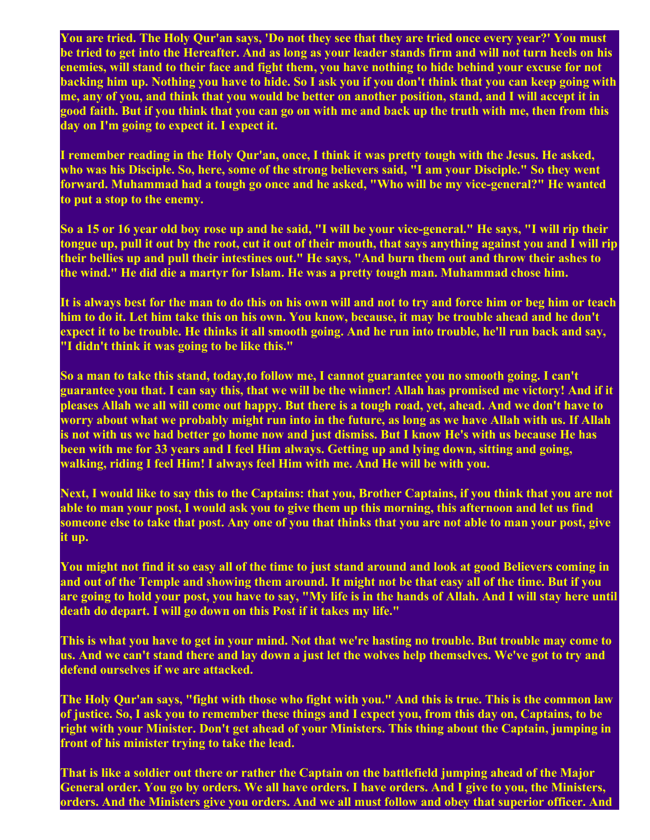**You are tried. The Holy Qur'an says, 'Do not they see that they are tried once every year?' You must be tried to get into the Hereafter. And as long as your leader stands firm and will not turn heels on his enemies, will stand to their face and fight them, you have nothing to hide behind your excuse for not backing him up. Nothing you have to hide. So I ask you if you don't think that you can keep going with me, any of you, and think that you would be better on another position, stand, and I will accept it in good faith. But if you think that you can go on with me and back up the truth with me, then from this day on I'm going to expect it. I expect it.** 

**I remember reading in the Holy Qur'an, once, I think it was pretty tough with the Jesus. He asked, who was his Disciple. So, here, some of the strong believers said, "I am your Disciple." So they went forward. Muhammad had a tough go once and he asked, "Who will be my vice-general?" He wanted to put a stop to the enemy.** 

**So a 15 or 16 year old boy rose up and he said, "I will be your vice-general." He says, "I will rip their tongue up, pull it out by the root, cut it out of their mouth, that says anything against you and I will rip their bellies up and pull their intestines out." He says, "And burn them out and throw their ashes to the wind." He did die a martyr for Islam. He was a pretty tough man. Muhammad chose him.** 

**It is always best for the man to do this on his own will and not to try and force him or beg him or teach him to do it. Let him take this on his own. You know, because, it may be trouble ahead and he don't expect it to be trouble. He thinks it all smooth going. And he run into trouble, he'll run back and say, "I didn't think it was going to be like this."** 

**So a man to take this stand, today,to follow me, I cannot guarantee you no smooth going. I can't guarantee you that. I can say this, that we will be the winner! Allah has promised me victory! And if it pleases Allah we all will come out happy. But there is a tough road, yet, ahead. And we don't have to worry about what we probably might run into in the future, as long as we have Allah with us. If Allah is not with us we had better go home now and just dismiss. But I know He's with us because He has been with me for 33 years and I feel Him always. Getting up and lying down, sitting and going, walking, riding I feel Him! I always feel Him with me. And He will be with you.**

**Next, I would like to say this to the Captains: that you, Brother Captains, if you think that you are not able to man your post, I would ask you to give them up this morning, this afternoon and let us find someone else to take that post. Any one of you that thinks that you are not able to man your post, give it up.** 

**You might not find it so easy all of the time to just stand around and look at good Believers coming in and out of the Temple and showing them around. It might not be that easy all of the time. But if you are going to hold your post, you have to say, "My life is in the hands of Allah. And I will stay here until death do depart. I will go down on this Post if it takes my life."** 

**This is what you have to get in your mind. Not that we're hasting no trouble. But trouble may come to us. And we can't stand there and lay down a just let the wolves help themselves. We've got to try and defend ourselves if we are attacked.** 

**The Holy Qur'an says, "fight with those who fight with you." And this is true. This is the common law of justice. So, I ask you to remember these things and I expect you, from this day on, Captains, to be right with your Minister. Don't get ahead of your Ministers. This thing about the Captain, jumping in front of his minister trying to take the lead.** 

**That is like a soldier out there or rather the Captain on the battlefield jumping ahead of the Major General order. You go by orders. We all have orders. I have orders. And I give to you, the Ministers, orders. And the Ministers give you orders. And we all must follow and obey that superior officer. And**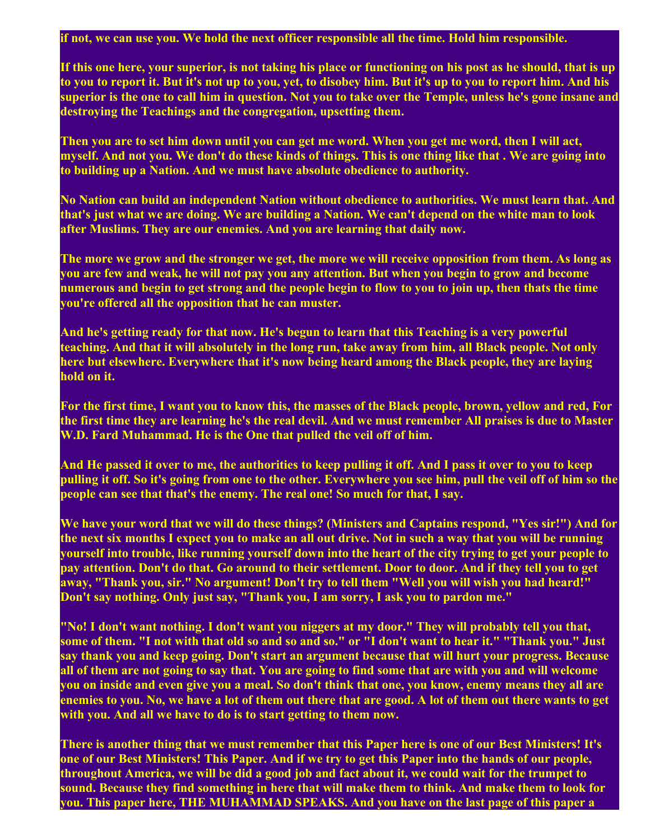**if not, we can use you. We hold the next officer responsible all the time. Hold him responsible.** 

**If this one here, your superior, is not taking his place or functioning on his post as he should, that is up to you to report it. But it's not up to you, yet, to disobey him. But it's up to you to report him. And his superior is the one to call him in question. Not you to take over the Temple, unless he's gone insane and destroying the Teachings and the congregation, upsetting them.** 

**Then you are to set him down until you can get me word. When you get me word, then I will act, myself. And not you. We don't do these kinds of things. This is one thing like that . We are going into to building up a Nation. And we must have absolute obedience to authority.**

**No Nation can build an independent Nation without obedience to authorities. We must learn that. And that's just what we are doing. We are building a Nation. We can't depend on the white man to look after Muslims. They are our enemies. And you are learning that daily now.**

**The more we grow and the stronger we get, the more we will receive opposition from them. As long as you are few and weak, he will not pay you any attention. But when you begin to grow and become numerous and begin to get strong and the people begin to flow to you to join up, then thats the time you're offered all the opposition that he can muster.** 

**And he's getting ready for that now. He's begun to learn that this Teaching is a very powerful teaching. And that it will absolutely in the long run, take away from him, all Black people. Not only here but elsewhere. Everywhere that it's now being heard among the Black people, they are laying hold on it.** 

**For the first time, I want you to know this, the masses of the Black people, brown, yellow and red, For the first time they are learning he's the real devil. And we must remember All praises is due to Master W.D. Fard Muhammad. He is the One that pulled the veil off of him.**

**And He passed it over to me, the authorities to keep pulling it off. And I pass it over to you to keep pulling it off. So it's going from one to the other. Everywhere you see him, pull the veil off of him so the people can see that that's the enemy. The real one! So much for that, I say.**

**We have your word that we will do these things? (Ministers and Captains respond, "Yes sir!") And for the next six months I expect you to make an all out drive. Not in such a way that you will be running yourself into trouble, like running yourself down into the heart of the city trying to get your people to pay attention. Don't do that. Go around to their settlement. Door to door. And if they tell you to get away, "Thank you, sir." No argument! Don't try to tell them "Well you will wish you had heard!" Don't say nothing. Only just say, "Thank you, I am sorry, I ask you to pardon me."** 

**"No! I don't want nothing. I don't want you niggers at my door." They will probably tell you that, some of them. "I not with that old so and so and so." or "I don't want to hear it." "Thank you." Just say thank you and keep going. Don't start an argument because that will hurt your progress. Because all of them are not going to say that. You are going to find some that are with you and will welcome you on inside and even give you a meal. So don't think that one, you know, enemy means they all are enemies to you. No, we have a lot of them out there that are good. A lot of them out there wants to get with you. And all we have to do is to start getting to them now.**

**There is another thing that we must remember that this Paper here is one of our Best Ministers! It's one of our Best Ministers! This Paper. And if we try to get this Paper into the hands of our people, throughout America, we will be did a good job and fact about it, we could wait for the trumpet to sound. Because they find something in here that will make them to think. And make them to look for you. This paper here, THE MUHAMMAD SPEAKS. And you have on the last page of this paper a**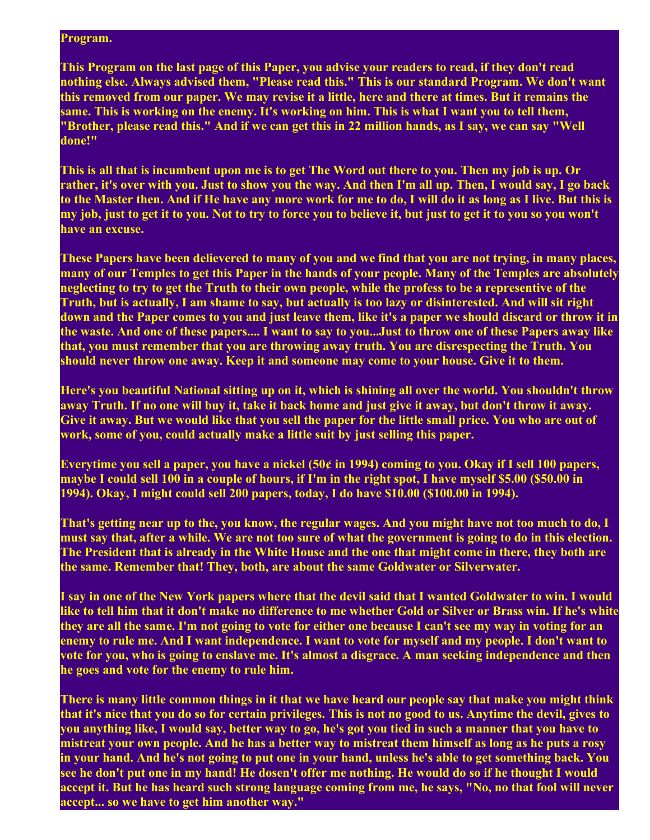## **Program.**

**This Program on the last page of this Paper, you advise your readers to read, if they don't read nothing else. Always advised them, "Please read this." This is our standard Program. We don't want this removed from our paper. We may revise it a little, here and there at times. But it remains the same. This is working on the enemy. It's working on him. This is what I want you to tell them, "Brother, please read this." And if we can get this in 22 million hands, as I say, we can say "Well done!"**

**This is all that is incumbent upon me is to get The Word out there to you. Then my job is up. Or rather, it's over with you. Just to show you the way. And then I'm all up. Then, I would say, I go back to the Master then. And if He have any more work for me to do, I will do it as long as I live. But this is my job, just to get it to you. Not to try to force you to believe it, but just to get it to you so you won't have an excuse.** 

**These Papers have been delievered to many of you and we find that you are not trying, in many places, many of our Temples to get this Paper in the hands of your people. Many of the Temples are absolutely neglecting to try to get the Truth to their own people, while the profess to be a representive of the Truth, but is actually, I am shame to say, but actually is too lazy or disinterested. And will sit right down and the Paper comes to you and just leave them, like it's a paper we should discard or throw it in the waste. And one of these papers.... I want to say to you...Just to throw one of these Papers away like that, you must remember that you are throwing away truth. You are disrespecting the Truth. You should never throw one away. Keep it and someone may come to your house. Give it to them.**

**Here's you beautiful National sitting up on it, which is shining all over the world. You shouldn't throw away Truth. If no one will buy it, take it back home and just give it away, but don't throw it away. Give it away. But we would like that you sell the paper for the little small price. You who are out of work, some of you, could actually make a little suit by just selling this paper.** 

**Everytime you sell a paper, you have a nickel (50¢ in 1994) coming to you. Okay if I sell 100 papers, maybe I could sell 100 in a couple of hours, if I'm in the right spot, I have myself \$5.00 (\$50.00 in 1994). Okay, I might could sell 200 papers, today, I do have \$10.00 (\$100.00 in 1994).**

**That's getting near up to the, you know, the regular wages. And you might have not too much to do, I must say that, after a while. We are not too sure of what the government is going to do in this election. The President that is already in the White House and the one that might come in there, they both are the same. Remember that! They, both, are about the same Goldwater or Silverwater.**

**I say in one of the New York papers where that the devil said that I wanted Goldwater to win. I would like to tell him that it don't make no difference to me whether Gold or Silver or Brass win. If he's white they are all the same. I'm not going to vote for either one because I can't see my way in voting for an enemy to rule me. And I want independence. I want to vote for myself and my people. I don't want to vote for you, who is going to enslave me. It's almost a disgrace. A man seeking independence and then he goes and vote for the enemy to rule him.** 

**There is many little common things in it that we have heard our people say that make you might think that it's nice that you do so for certain privileges. This is not no good to us. Anytime the devil, gives to you anything like, I would say, better way to go, he's got you tied in such a manner that you have to mistreat your own people. And he has a better way to mistreat them himself as long as he puts a rosy in your hand. And he's not going to put one in your hand, unless he's able to get something back. You see he don't put one in my hand! He dosen't offer me nothing. He would do so if he thought I would accept it. But he has heard such strong language coming from me, he says, "No, no that fool will never accept... so we have to get him another way."**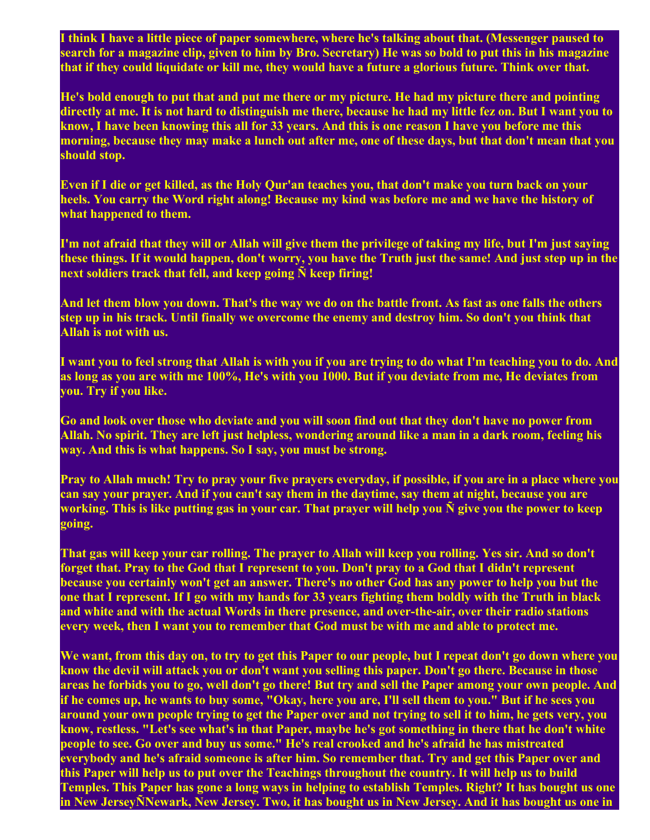**I think I have a little piece of paper somewhere, where he's talking about that. (Messenger paused to search for a magazine clip, given to him by Bro. Secretary) He was so bold to put this in his magazine that if they could liquidate or kill me, they would have a future a glorious future. Think over that.** 

**He's bold enough to put that and put me there or my picture. He had my picture there and pointing directly at me. It is not hard to distinguish me there, because he had my little fez on. But I want you to know, I have been knowing this all for 33 years. And this is one reason I have you before me this morning, because they may make a lunch out after me, one of these days, but that don't mean that you should stop.** 

**Even if I die or get killed, as the Holy Qur'an teaches you, that don't make you turn back on your heels. You carry the Word right along! Because my kind was before me and we have the history of what happened to them.** 

**I'm not afraid that they will or Allah will give them the privilege of taking my life, but I'm just saying these things. If it would happen, don't worry, you have the Truth just the same! And just step up in the next soldiers track that fell, and keep going Ñ keep firing!** 

**And let them blow you down. That's the way we do on the battle front. As fast as one falls the others step up in his track. Until finally we overcome the enemy and destroy him. So don't you think that Allah is not with us.** 

**I want you to feel strong that Allah is with you if you are trying to do what I'm teaching you to do. And as long as you are with me 100%, He's with you 1000. But if you deviate from me, He deviates from you. Try if you like.**

**Go and look over those who deviate and you will soon find out that they don't have no power from Allah. No spirit. They are left just helpless, wondering around like a man in a dark room, feeling his way. And this is what happens. So I say, you must be strong.** 

**Pray to Allah much! Try to pray your five prayers everyday, if possible, if you are in a place where you can say your prayer. And if you can't say them in the daytime, say them at night, because you are working. This is like putting gas in your car. That prayer will help you Ñ give you the power to keep going.** 

**That gas will keep your car rolling. The prayer to Allah will keep you rolling. Yes sir. And so don't forget that. Pray to the God that I represent to you. Don't pray to a God that I didn't represent because you certainly won't get an answer. There's no other God has any power to help you but the one that I represent. If I go with my hands for 33 years fighting them boldly with the Truth in black and white and with the actual Words in there presence, and over-the-air, over their radio stations every week, then I want you to remember that God must be with me and able to protect me.** 

**We want, from this day on, to try to get this Paper to our people, but I repeat don't go down where you know the devil will attack you or don't want you selling this paper. Don't go there. Because in those areas he forbids you to go, well don't go there! But try and sell the Paper among your own people. And if he comes up, he wants to buy some, "Okay, here you are, I'll sell them to you." But if he sees you around your own people trying to get the Paper over and not trying to sell it to him, he gets very, you know, restless. "Let's see what's in that Paper, maybe he's got something in there that he don't white people to see. Go over and buy us some." He's real crooked and he's afraid he has mistreated everybody and he's afraid someone is after him. So remember that. Try and get this Paper over and this Paper will help us to put over the Teachings throughout the country. It will help us to build Temples. This Paper has gone a long ways in helping to establish Temples. Right? It has bought us one in New JerseyÑNewark, New Jersey. Two, it has bought us in New Jersey. And it has bought us one in**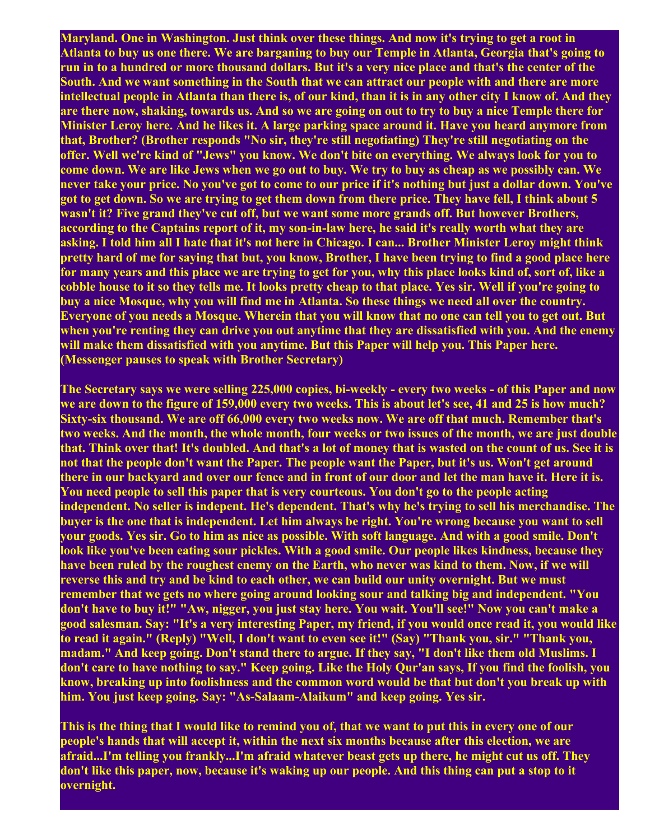**Maryland. One in Washington. Just think over these things. And now it's trying to get a root in Atlanta to buy us one there. We are barganing to buy our Temple in Atlanta, Georgia that's going to run in to a hundred or more thousand dollars. But it's a very nice place and that's the center of the South. And we want something in the South that we can attract our people with and there are more intellectual people in Atlanta than there is, of our kind, than it is in any other city I know of. And they are there now, shaking, towards us. And so we are going on out to try to buy a nice Temple there for Minister Leroy here. And he likes it. A large parking space around it. Have you heard anymore from that, Brother? (Brother responds "No sir, they're still negotiating) They're still negotiating on the offer. Well we're kind of "Jews" you know. We don't bite on everything. We always look for you to come down. We are like Jews when we go out to buy. We try to buy as cheap as we possibly can. We never take your price. No you've got to come to our price if it's nothing but just a dollar down. You've got to get down. So we are trying to get them down from there price. They have fell, I think about 5 wasn't it? Five grand they've cut off, but we want some more grands off. But however Brothers, according to the Captains report of it, my son-in-law here, he said it's really worth what they are asking. I told him all I hate that it's not here in Chicago. I can... Brother Minister Leroy might think pretty hard of me for saying that but, you know, Brother, I have been trying to find a good place here for many years and this place we are trying to get for you, why this place looks kind of, sort of, like a cobble house to it so they tells me. It looks pretty cheap to that place. Yes sir. Well if you're going to buy a nice Mosque, why you will find me in Atlanta. So these things we need all over the country. Everyone of you needs a Mosque. Wherein that you will know that no one can tell you to get out. But when you're renting they can drive you out anytime that they are dissatisfied with you. And the enemy will make them dissatisfied with you anytime. But this Paper will help you. This Paper here. (Messenger pauses to speak with Brother Secretary)**

**The Secretary says we were selling 225,000 copies, bi-weekly - every two weeks - of this Paper and now we are down to the figure of 159,000 every two weeks. This is about let's see, 41 and 25 is how much? Sixty-six thousand. We are off 66,000 every two weeks now. We are off that much. Remember that's two weeks. And the month, the whole month, four weeks or two issues of the month, we are just double that. Think over that! It's doubled. And that's a lot of money that is wasted on the count of us. See it is not that the people don't want the Paper. The people want the Paper, but it's us. Won't get around there in our backyard and over our fence and in front of our door and let the man have it. Here it is. You need people to sell this paper that is very courteous. You don't go to the people acting independent. No seller is indepent. He's dependent. That's why he's trying to sell his merchandise. The buyer is the one that is independent. Let him always be right. You're wrong because you want to sell your goods. Yes sir. Go to him as nice as possible. With soft language. And with a good smile. Don't look like you've been eating sour pickles. With a good smile. Our people likes kindness, because they have been ruled by the roughest enemy on the Earth, who never was kind to them. Now, if we will reverse this and try and be kind to each other, we can build our unity overnight. But we must remember that we gets no where going around looking sour and talking big and independent. "You don't have to buy it!" "Aw, nigger, you just stay here. You wait. You'll see!" Now you can't make a good salesman. Say: "It's a very interesting Paper, my friend, if you would once read it, you would like to read it again." (Reply) "Well, I don't want to even see it!" (Say) "Thank you, sir." "Thank you, madam." And keep going. Don't stand there to argue. If they say, "I don't like them old Muslims. I don't care to have nothing to say." Keep going. Like the Holy Qur'an says, If you find the foolish, you know, breaking up into foolishness and the common word would be that but don't you break up with him. You just keep going. Say: "As-Salaam-Alaikum" and keep going. Yes sir.** 

**This is the thing that I would like to remind you of, that we want to put this in every one of our people's hands that will accept it, within the next six months because after this election, we are afraid...I'm telling you frankly...I'm afraid whatever beast gets up there, he might cut us off. They don't like this paper, now, because it's waking up our people. And this thing can put a stop to it overnight.**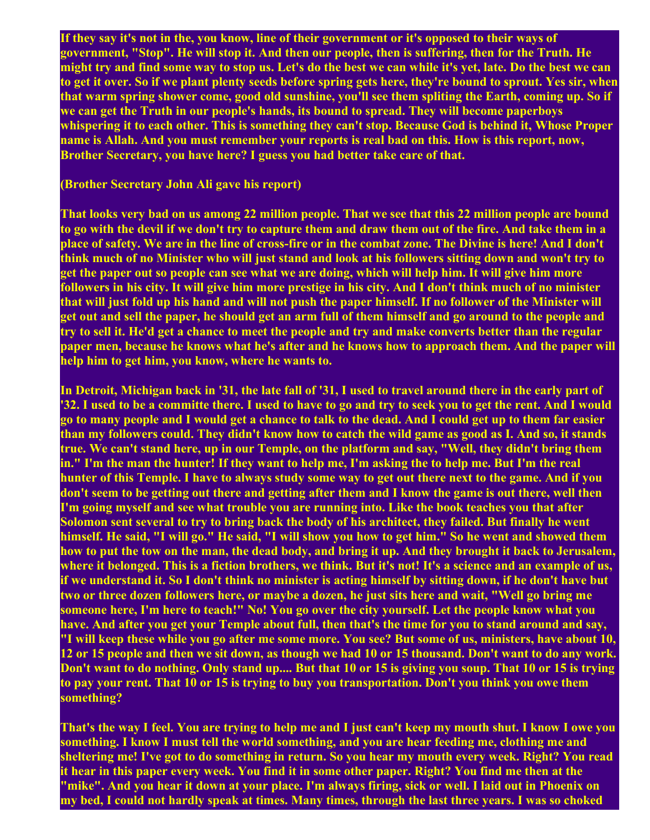**If they say it's not in the, you know, line of their government or it's opposed to their ways of government, "Stop". He will stop it. And then our people, then is suffering, then for the Truth. He might try and find some way to stop us. Let's do the best we can while it's yet, late. Do the best we can to get it over. So if we plant plenty seeds before spring gets here, they're bound to sprout. Yes sir, when that warm spring shower come, good old sunshine, you'll see them spliting the Earth, coming up. So if we can get the Truth in our people's hands, its bound to spread. They will become paperboys whispering it to each other. This is something they can't stop. Because God is behind it, Whose Proper name is Allah. And you must remember your reports is real bad on this. How is this report, now, Brother Secretary, you have here? I guess you had better take care of that.**

**(Brother Secretary John Ali gave his report)**

**That looks very bad on us among 22 million people. That we see that this 22 million people are bound to go with the devil if we don't try to capture them and draw them out of the fire. And take them in a place of safety. We are in the line of cross-fire or in the combat zone. The Divine is here! And I don't think much of no Minister who will just stand and look at his followers sitting down and won't try to get the paper out so people can see what we are doing, which will help him. It will give him more followers in his city. It will give him more prestige in his city. And I don't think much of no minister that will just fold up his hand and will not push the paper himself. If no follower of the Minister will get out and sell the paper, he should get an arm full of them himself and go around to the people and try to sell it. He'd get a chance to meet the people and try and make converts better than the regular paper men, because he knows what he's after and he knows how to approach them. And the paper will help him to get him, you know, where he wants to.**

**In Detroit, Michigan back in '31, the late fall of '31, I used to travel around there in the early part of '32. I used to be a committe there. I used to have to go and try to seek you to get the rent. And I would go to many people and I would get a chance to talk to the dead. And I could get up to them far easier than my followers could. They didn't know how to catch the wild game as good as I. And so, it stands true. We can't stand here, up in our Temple, on the platform and say, "Well, they didn't bring them in." I'm the man the hunter! If they want to help me, I'm asking the to help me. But I'm the real hunter of this Temple. I have to always study some way to get out there next to the game. And if you don't seem to be getting out there and getting after them and I know the game is out there, well then I'm going myself and see what trouble you are running into. Like the book teaches you that after Solomon sent several to try to bring back the body of his architect, they failed. But finally he went himself. He said, "I will go." He said, "I will show you how to get him." So he went and showed them how to put the tow on the man, the dead body, and bring it up. And they brought it back to Jerusalem, where it belonged. This is a fiction brothers, we think. But it's not! It's a science and an example of us, if we understand it. So I don't think no minister is acting himself by sitting down, if he don't have but two or three dozen followers here, or maybe a dozen, he just sits here and wait, "Well go bring me someone here, I'm here to teach!" No! You go over the city yourself. Let the people know what you have. And after you get your Temple about full, then that's the time for you to stand around and say, "I will keep these while you go after me some more. You see? But some of us, ministers, have about 10, 12 or 15 people and then we sit down, as though we had 10 or 15 thousand. Don't want to do any work. Don't want to do nothing. Only stand up.... But that 10 or 15 is giving you soup. That 10 or 15 is trying to pay your rent. That 10 or 15 is trying to buy you transportation. Don't you think you owe them something?** 

**That's the way I feel. You are trying to help me and I just can't keep my mouth shut. I know I owe you something. I know I must tell the world something, and you are hear feeding me, clothing me and sheltering me! I've got to do something in return. So you hear my mouth every week. Right? You read it hear in this paper every week. You find it in some other paper. Right? You find me then at the "mike". And you hear it down at your place. I'm always firing, sick or well. I laid out in Phoenix on my bed, I could not hardly speak at times. Many times, through the last three years. I was so choked**